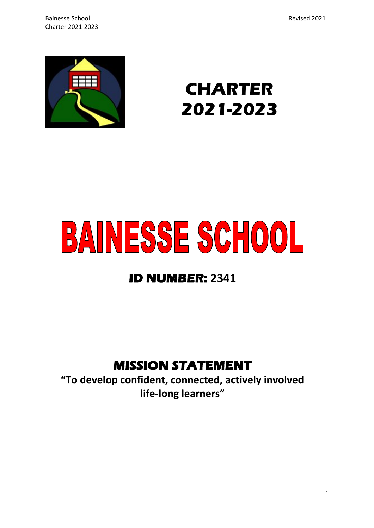

# **CHARTER 2021-2023**

# **BAINESSE SCHOOL**

# **ID NUMBER: 2341**

# **MISSION STATEMENT**

**"To develop confident, connected, actively involved life-long learners"**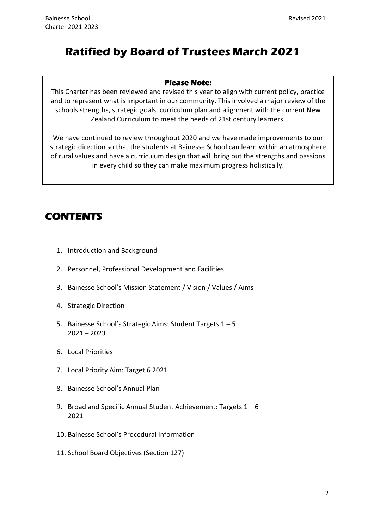# **Ratified by Board of Trustees March 2021**

#### **Please Note:**

This Charter has been reviewed and revised this year to align with current policy, practice and to represent what is important in our community. This involved a major review of the schools strengths, strategic goals, curriculum plan and alignment with the current New Zealand Curriculum to meet the needs of 21st century learners.

We have continued to review throughout 2020 and we have made improvements to our strategic direction so that the students at Bainesse School can learn within an atmosphere of rural values and have a curriculum design that will bring out the strengths and passions in every child so they can make maximum progress holistically.

# **CONTENTS**

- 1. Introduction and Background
- 2. Personnel, Professional Development and Facilities
- 3. Bainesse School's Mission Statement / Vision / Values / Aims
- 4. Strategic Direction
- 5. Bainesse School's Strategic Aims: Student Targets 1 5  $2021 - 2023$
- 6. Local Priorities
- 7. Local Priority Aim: Target 6 2021
- 8. Bainesse School's Annual Plan
- 9. Broad and Specific Annual Student Achievement: Targets 1 6 2021
- 10. Bainesse School's Procedural Information
- 11. School Board Objectives (Section 127)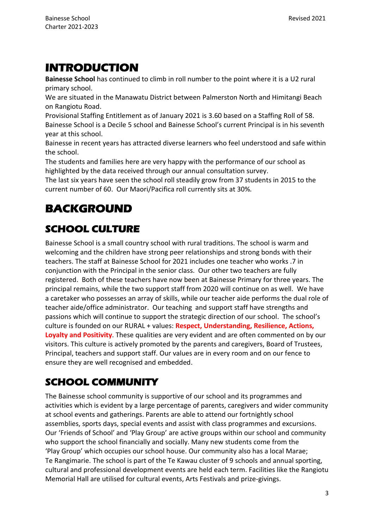# **INTRODUCTION**

**Bainesse School** has continued to climb in roll number to the point where it is a U2 rural primary school.

We are situated in the Manawatu District between Palmerston North and Himitangi Beach on Rangiotu Road.

Provisional Staffing Entitlement as of January 2021 is 3.60 based on a Staffing Roll of 58. Bainesse School is a Decile 5 school and Bainesse School's current Principal is in his seventh year at this school.

Bainesse in recent years has attracted diverse learners who feel understood and safe within the school.

The students and families here are very happy with the performance of our school as highlighted by the data received through our annual consultation survey.

The last six years have seen the school roll steadily grow from 37 students in 2015 to the current number of 60. Our Maori/Pacifica roll currently sits at 30%*.*

# **BACKGROUND**

# **SCHOOL CULTURE**

Bainesse School is a small country school with rural traditions. The school is warm and welcoming and the children have strong peer relationships and strong bonds with their teachers. The staff at Bainesse School for 2021 includes one teacher who works .7 in conjunction with the Principal in the senior class. Our other two teachers are fully registered. Both of these teachers have now been at Bainesse Primary for three years. The principal remains, while the two support staff from 2020 will continue on as well. We have a caretaker who possesses an array of skills, while our teacher aide performs the dual role of teacher aide/office administrator. Our teaching and support staff have strengths and passions which will continue to support the strategic direction of our school. The school's culture is founded on our RURAL + values: **Respect, Understanding, Resilience, Actions, Loyalty and Positivity**. These qualities are very evident and are often commented on by our visitors. This culture is actively promoted by the parents and caregivers, Board of Trustees, Principal, teachers and support staff. Our values are in every room and on our fence to ensure they are well recognised and embedded.

# **SCHOOL COMMUNITY**

The Bainesse school community is supportive of our school and its programmes and activities which is evident by a large percentage of parents, caregivers and wider community at school events and gatherings. Parents are able to attend our fortnightly school assemblies, sports days, special events and assist with class programmes and excursions. Our 'Friends of School' and 'Play Group' are active groups within our school and community who support the school financially and socially. Many new students come from the 'Play Group' which occupies our school house. Our community also has a local Marae; Te Rangimarie. The school is part of the Te Kawau cluster of 9 schools and annual sporting, cultural and professional development events are held each term. Facilities like the Rangiotu Memorial Hall are utilised for cultural events, Arts Festivals and prize-givings.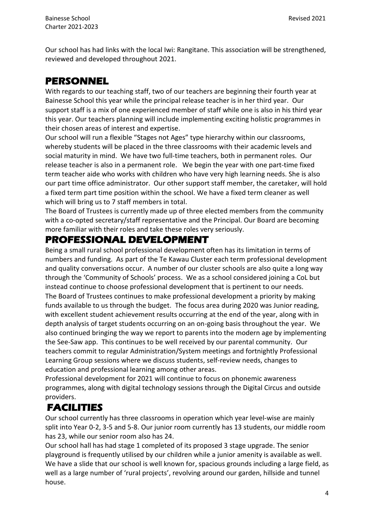Our school has had links with the local Iwi: Rangitane. This association will be strengthened, reviewed and developed throughout 2021.

## **PERSONNEL**

With regards to our teaching staff, two of our teachers are beginning their fourth year at Bainesse School this year while the principal release teacher is in her third year. Our support staff is a mix of one experienced member of staff while one is also in his third year this year. Our teachers planning will include implementing exciting holistic programmes in their chosen areas of interest and expertise.

Our school will run a flexible "Stages not Ages" type hierarchy within our classrooms, whereby students will be placed in the three classrooms with their academic levels and social maturity in mind. We have two full-time teachers, both in permanent roles. Our release teacher is also in a permanent role. We begin the year with one part-time fixed term teacher aide who works with children who have very high learning needs. She is also our part time office administrator. Our other support staff member, the caretaker, will hold a fixed term part time position within the school. We have a fixed term cleaner as well which will bring us to 7 staff members in total.

The Board of Trustees is currently made up of three elected members from the community with a co-opted secretary/staff representative and the Principal. Our Board are becoming more familiar with their roles and take these roles very seriously.

## **PROFESSIONAL DEVELOPMENT**

Being a small rural school professional development often has its limitation in terms of numbers and funding. As part of the Te Kawau Cluster each term professional development and quality conversations occur. A number of our cluster schools are also quite a long way through the 'Community of Schools' process. We as a school considered joining a CoL but instead continue to choose professional development that is pertinent to our needs. The Board of Trustees continues to make professional development a priority by making funds available to us through the budget. The focus area during 2020 was Junior reading, with excellent student achievement results occurring at the end of the year, along with in depth analysis of target students occurring on an on-going basis throughout the year. We also continued bringing the way we report to parents into the modern age by implementing the See-Saw app. This continues to be well received by our parental community. Our teachers commit to regular Administration/System meetings and fortnightly Professional Learning Group sessions where we discuss students, self-review needs, changes to education and professional learning among other areas.

Professional development for 2021 will continue to focus on phonemic awareness programmes, along with digital technology sessions through the Digital Circus and outside providers.

# **FACILITIES**

Our school currently has three classrooms in operation which year level-wise are mainly split into Year 0-2, 3-5 and 5-8. Our junior room currently has 13 students, our middle room has 23, while our senior room also has 24.

Our school hall has had stage 1 completed of its proposed 3 stage upgrade. The senior playground is frequently utilised by our children while a junior amenity is available as well. We have a slide that our school is well known for, spacious grounds including a large field, as well as a large number of 'rural projects', revolving around our garden, hillside and tunnel house.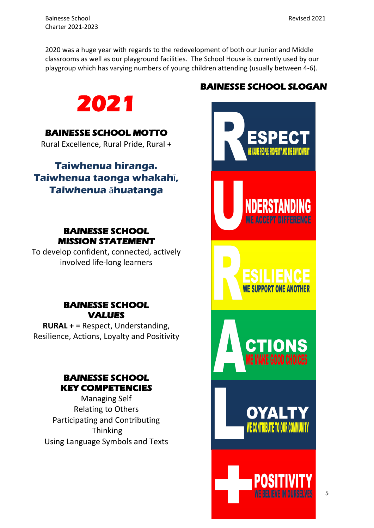Bainesse School Revised 2021 Charter 2021-2023

2020 was a huge year with regards to the redevelopment of both our Junior and Middle classrooms as well as our playground facilities. The School House is currently used by our playgroup which has varying numbers of young children attending (usually between 4-6).



## **BAINESSE SCHOOL MOTTO**

Rural Excellence, Rural Pride, Rural +

**Taiwhenua hiranga. Taiwhenua taonga whakah**ī**, Taiwhenua** ā**huatanga**

## **BAINESSE SCHOOL MISSION STATEMENT**

To develop confident, connected, actively involved life-long learners

## **BAINESSE SCHOOL VALUES**

**RURAL +** = Respect, Understanding, Resilience, Actions, Loyalty and Positivity

## **BAINESSE SCHOOL KEY COMPETENCIES**

Managing Self Relating to Others Participating and Contributing **Thinking** Using Language Symbols and Texts

# **BAINESSE SCHOOL SLOGAN**

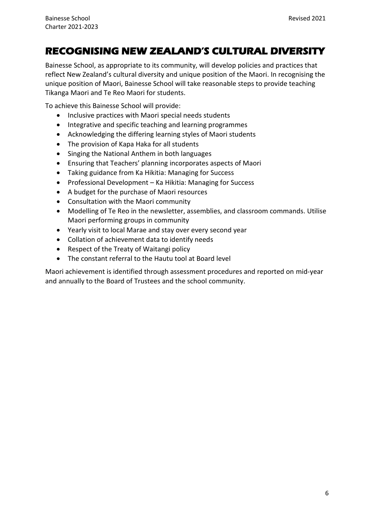# **RECOGNISING NEW ZEALAND'S CULTURAL DIVERSITY**

Bainesse School, as appropriate to its community, will develop policies and practices that reflect New Zealand's cultural diversity and unique position of the Maori. In recognising the unique position of Maori, Bainesse School will take reasonable steps to provide teaching Tikanga Maori and Te Reo Maori for students.

To achieve this Bainesse School will provide:

- Inclusive practices with Maori special needs students
- Integrative and specific teaching and learning programmes
- Acknowledging the differing learning styles of Maori students
- The provision of Kapa Haka for all students
- Singing the National Anthem in both languages
- Ensuring that Teachers' planning incorporates aspects of Maori
- Taking guidance from Ka Hikitia: Managing for Success
- Professional Development Ka Hikitia: Managing for Success
- A budget for the purchase of Maori resources
- Consultation with the Maori community
- Modelling of Te Reo in the newsletter, assemblies, and classroom commands. Utilise Maori performing groups in community
- Yearly visit to local Marae and stay over every second year
- Collation of achievement data to identify needs
- Respect of the Treaty of Waitangi policy
- The constant referral to the Hautu tool at Board level

Maori achievement is identified through assessment procedures and reported on mid-year and annually to the Board of Trustees and the school community.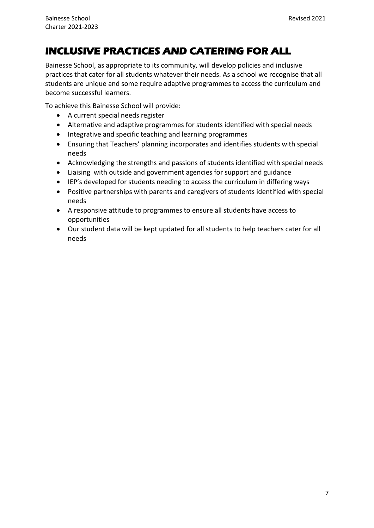# **INCLUSIVE PRACTICES AND CATERING FOR ALL**

Bainesse School, as appropriate to its community, will develop policies and inclusive practices that cater for all students whatever their needs. As a school we recognise that all students are unique and some require adaptive programmes to access the curriculum and become successful learners.

To achieve this Bainesse School will provide:

- A current special needs register
- Alternative and adaptive programmes for students identified with special needs
- Integrative and specific teaching and learning programmes
- Ensuring that Teachers' planning incorporates and identifies students with special needs
- Acknowledging the strengths and passions of students identified with special needs
- Liaising with outside and government agencies for support and guidance
- IEP's developed for students needing to access the curriculum in differing ways
- Positive partnerships with parents and caregivers of students identified with special needs
- A responsive attitude to programmes to ensure all students have access to opportunities
- Our student data will be kept updated for all students to help teachers cater for all needs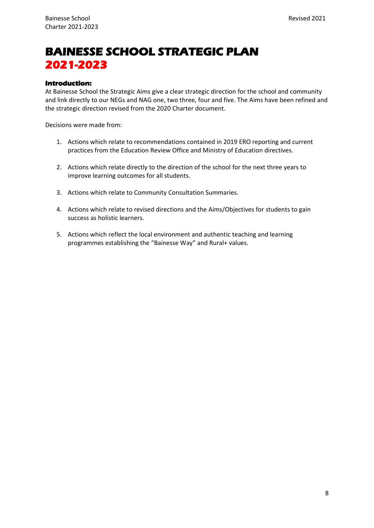# **BAINESSE SCHOOL STRATEGIC PLAN 2021-2023**

#### **Introduction:**

At Bainesse School the Strategic Aims give a clear strategic direction for the school and community and link directly to our NEGs and NAG one, two three, four and five. The Aims have been refined and the strategic direction revised from the 2020 Charter document.

Decisions were made from:

- 1. Actions which relate to recommendations contained in 2019 ERO reporting and current practices from the Education Review Office and Ministry of Education directives.
- 2. Actions which relate directly to the direction of the school for the next three years to improve learning outcomes for all students.
- 3. Actions which relate to Community Consultation Summaries.
- 4. Actions which relate to revised directions and the Aims/Objectives for students to gain success as holistic learners.
- 5. Actions which reflect the local environment and authentic teaching and learning programmes establishing the "Bainesse Way" and Rural+ values.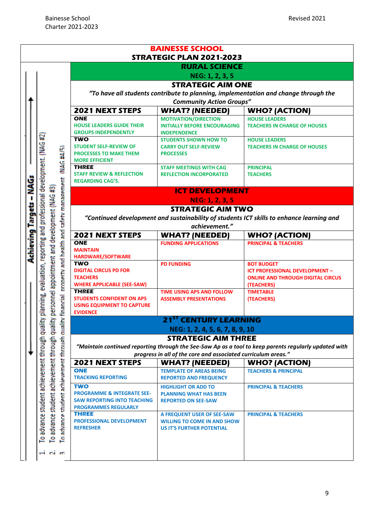|                                                   | STRATEGIC PLAN 2021-2023                                          |                                                                                                       |
|---------------------------------------------------|-------------------------------------------------------------------|-------------------------------------------------------------------------------------------------------|
|                                                   | <b>RURAL SCIENCE</b>                                              |                                                                                                       |
|                                                   | NEG: 1, 2, 3, 5                                                   |                                                                                                       |
|                                                   | <b>STRATEGIC AIM ONE</b>                                          |                                                                                                       |
|                                                   |                                                                   | "To have all students contribute to planning, implementation and change through the                   |
|                                                   | <b>Community Action Groups"</b>                                   |                                                                                                       |
| 2021 NEXT STEPS                                   | <b>WHAT? (NEEDED)</b>                                             | <b>WHO? (ACTION)</b>                                                                                  |
| <b>ONE</b>                                        | <b>MOTIVATION/DIRECTION</b>                                       | <b>HOUSE LEADERS</b>                                                                                  |
| <b>HOUSE LEADERS GUIDE THEIR</b>                  | <b>INITIALLY BEFORE ENCOURAGING</b>                               | <b>TEACHERS IN CHARGE OF HOUSES</b>                                                                   |
| <b>GROUPS INDEPENDENTLY</b>                       | <b>INDEPENDENCE</b>                                               |                                                                                                       |
| <b>TWO</b><br><b>STUDENT SELF-REVIEW OF</b>       | <b>STUDENTS SHOWN HOW TO</b>                                      | <b>HOUSE LEADERS</b>                                                                                  |
| <b>PROCESSES TO MAKE THEM</b>                     | <b>CARRY OUT SELF-REVIEW</b><br><b>PROCESSES</b>                  | <b>TEACHERS IN CHARGE OF HOUSES</b>                                                                   |
| <b>MORE EFFICIENT</b>                             |                                                                   |                                                                                                       |
| <b>THREE</b>                                      | <b>STAFF MEETINGS WITH CAG</b>                                    | <b>PRINCIPAL</b>                                                                                      |
| <b>STAFF REVIEW &amp; REFLECTION</b>              | <b>REFLECTION INCORPORATED</b>                                    | <b>TEACHERS</b>                                                                                       |
| <b>REGARDING CAG'S.</b>                           |                                                                   |                                                                                                       |
|                                                   | <b>ICT DEVELOPMENT</b>                                            |                                                                                                       |
|                                                   | NEG: 1, 2, 3, 5                                                   |                                                                                                       |
|                                                   | <b>STRATEGIC AIM TWO</b>                                          |                                                                                                       |
|                                                   |                                                                   |                                                                                                       |
|                                                   |                                                                   | "Continued development and sustainability of students ICT skills to enhance learning and              |
|                                                   | achievement."                                                     |                                                                                                       |
| <b>2021 NEXT STEPS</b>                            | <b>WHAT? (NEEDED)</b>                                             | <b>WHO? (ACTION)</b>                                                                                  |
| <b>ONE</b>                                        | <b>FUNDING APPLICATIONS</b>                                       | <b>PRINCIPAL &amp; TEACHERS</b>                                                                       |
| <b>MAINTAIN</b>                                   |                                                                   |                                                                                                       |
| HARDWARE/SOFTWARE                                 |                                                                   |                                                                                                       |
| <b>TWO</b>                                        | <b>PD FUNDING</b>                                                 | <b>BOT BUDGET</b>                                                                                     |
| <b>DIGITAL CIRCUS PD FOR</b>                      |                                                                   | ICT PROFESSIONAL DEVELOPMENT -                                                                        |
| <b>TEACHERS</b>                                   |                                                                   | <b>ONLINE AND THROUGH DIGITAL CIRCUS</b>                                                              |
| <b>WHERE APPLICABLE (SEE-SAW)</b><br><b>THREE</b> |                                                                   | (TEACHERS)                                                                                            |
| <b>STUDENTS CONFIDENT ON APS</b>                  | <b>TIME USING APS AND FOLLOW</b><br><b>ASSEMBLY PRESENTATIONS</b> | <b>TIMETABLE</b><br>(TEACHERS)                                                                        |
| <b>USING EQUIPMENT TO CAPTURE</b>                 |                                                                   |                                                                                                       |
| <b>EVIDENCE</b>                                   |                                                                   |                                                                                                       |
|                                                   | <b>21<sup>ST</sup> CENTURY LEARNING</b>                           |                                                                                                       |
|                                                   | NEG: 1, 2, 4, 5, 6, 7, 8, 9, 10                                   |                                                                                                       |
|                                                   | <b>STRATEGIC AIM THREE</b>                                        |                                                                                                       |
|                                                   |                                                                   |                                                                                                       |
|                                                   |                                                                   |                                                                                                       |
|                                                   |                                                                   |                                                                                                       |
|                                                   | progress in all of the core and associated curriculum areas."     | "Maintain continued reporting through the See-Saw Ap as a tool to keep parents regularly updated with |
| <b>2021 NEXT STEPS</b>                            | <b>WHAT? (NEEDED)</b>                                             | <b>WHO? (ACTION)</b>                                                                                  |
| <b>ONE</b>                                        | <b>TEMPLATE OF AREAS BEING</b>                                    | <b>TEACHERS &amp; PRINCIPAL</b>                                                                       |
| <b>TRACKING REPORTING</b>                         | <b>REPORTED AND FREQUENCY</b>                                     |                                                                                                       |
| <b>TWO</b>                                        | <b>HIGHLIGHT OR ADD TO</b>                                        | <b>PRINCIPAL &amp; TEACHERS</b>                                                                       |
| <b>PROGRAMME &amp; INTEGRATE SEE-</b>             | <b>PLANNING WHAT HAS BEEN</b>                                     |                                                                                                       |
| <b>SAW REPORTING INTO TEACHING</b>                | <b>REPORTED ON SEE-SAW</b>                                        |                                                                                                       |
| <b>PROGRAMMES REGULARLY</b>                       |                                                                   |                                                                                                       |
| <b>THREE</b>                                      | A FREQUENT USER OF SEE-SAW                                        | <b>PRINCIPAL &amp; TEACHERS</b>                                                                       |
| PROFESSIONAL DEVELOPMENT                          | <b>WILLING TO COME IN AND SHOW</b>                                |                                                                                                       |
| <b>REFRESHER</b>                                  | <b>US IT'S FURTHER POTENTIAL</b>                                  |                                                                                                       |
|                                                   |                                                                   |                                                                                                       |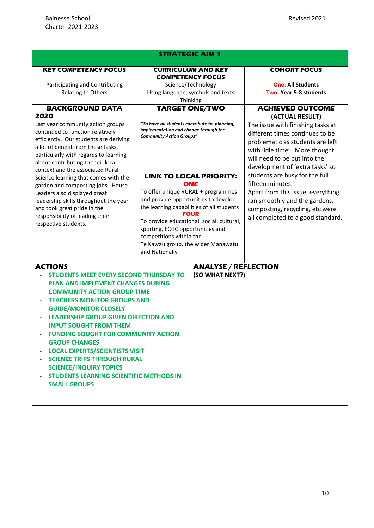| <b>STRATEGIC AIM 1</b>                                                                                                                                                                                                                                                                                                                                                                                                                                                                                                                                                 |                                                                                                                                                                                                                                                                                                                                                            |                                                |                                                                                                                                                                                                  |
|------------------------------------------------------------------------------------------------------------------------------------------------------------------------------------------------------------------------------------------------------------------------------------------------------------------------------------------------------------------------------------------------------------------------------------------------------------------------------------------------------------------------------------------------------------------------|------------------------------------------------------------------------------------------------------------------------------------------------------------------------------------------------------------------------------------------------------------------------------------------------------------------------------------------------------------|------------------------------------------------|--------------------------------------------------------------------------------------------------------------------------------------------------------------------------------------------------|
| <b>KEY COMPETENCY FOCUS</b>                                                                                                                                                                                                                                                                                                                                                                                                                                                                                                                                            | <b>CURRICULUM AND KEY</b><br><b>COMPETENCY FOCUS</b>                                                                                                                                                                                                                                                                                                       |                                                | <b>COHORT FOCUS</b>                                                                                                                                                                              |
| Participating and Contributing<br><b>Relating to Others</b>                                                                                                                                                                                                                                                                                                                                                                                                                                                                                                            | Science/Technology<br>Using language, symbols and texts<br>Thinking                                                                                                                                                                                                                                                                                        |                                                | <b>One: All Students</b><br><b>Two: Year 5-8 students</b>                                                                                                                                        |
| <b>BACKGROUND DATA</b><br>2020<br>Last year community action groups<br>continued to function relatively                                                                                                                                                                                                                                                                                                                                                                                                                                                                | <b>TARGET ONE/TWO</b><br>"To have all students contribute to planning,<br>implementation and change through the<br><b>Community Action Groups"</b>                                                                                                                                                                                                         |                                                | <b>ACHIEVED OUTCOME</b><br>(ACTUAL RESULT)<br>The issue with finishing tasks at<br>different times continues to be                                                                               |
| efficiently. Our students are deriving<br>a lot of benefit from these tasks,<br>particularly with regards to learning<br>about contributing to their local<br>context and the associated Rural                                                                                                                                                                                                                                                                                                                                                                         |                                                                                                                                                                                                                                                                                                                                                            |                                                | problematic as students are left<br>with 'idle time'. More thought<br>will need to be put into the<br>development of 'extra tasks' so                                                            |
| Science learning that comes with the<br>garden and composting jobs. House<br>Leaders also displayed great<br>leadership skills throughout the year<br>and took great pride in the<br>responsibility of leading their<br>respective students.                                                                                                                                                                                                                                                                                                                           | <b>LINK TO LOCAL PRIORITY:</b><br><b>ONE</b><br>To offer unique RURAL + programmes<br>and provide opportunities to develop<br>the learning capabilities of all students<br><b>FOUR</b><br>To provide educational, social, cultural,<br>sporting, EOTC opportunities and<br>competitions within the<br>Te Kawau group, the wider Manawatu<br>and Nationally |                                                | students are busy for the full<br>fifteen minutes.<br>Apart from this issue, everything<br>ran smoothly and the gardens,<br>composting, recycling, etc were<br>all completed to a good standard. |
| <b>ACTIONS</b><br><b>STUDENTS MEET EVERY SECOND THURSDAY TO</b><br><b>PLAN AND IMPLEMENT CHANGES DURING</b><br><b>COMMUNITY ACTION GROUP TIME</b><br><b>TEACHERS MONITOR GROUPS AND</b><br><b>GUIDE/MONITOR CLOSELY</b><br><b>LEADERSHIP GROUP GIVEN DIRECTION AND</b><br><b>INPUT SOUGHT FROM THEM</b><br><b>FUNDING SOUGHT FOR COMMUNITY ACTION</b><br><b>GROUP CHANGES</b><br><b>LOCAL EXPERTS/SCIENTISTS VISIT</b><br><b>SCIENCE TRIPS THROUGH RURAL</b><br><b>SCIENCE/INQUIRY TOPICS</b><br><b>STUDENTS LEARNING SCIENTIFIC METHODS IN</b><br><b>SMALL GROUPS</b> |                                                                                                                                                                                                                                                                                                                                                            | <b>ANALYSE / REFLECTION</b><br>(SO WHAT NEXT?) |                                                                                                                                                                                                  |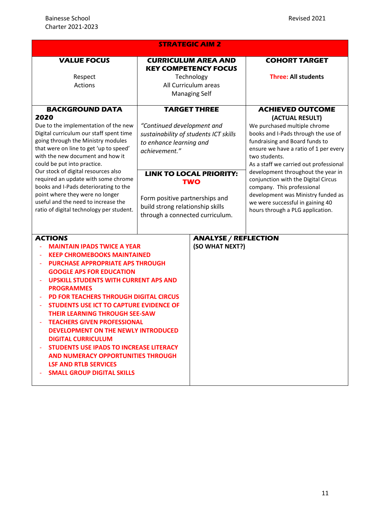| <b>STRATEGIC AIM 2</b>                                                                                                                                                                                                                                                                                                                                                                                                                                                                                                                                                                                                                                                              |                                                                                                                                                                                                                                                                                                 |                                                |                                                                                                                                                                                                                                                                                                                                                                                                                                                                                  |  |
|-------------------------------------------------------------------------------------------------------------------------------------------------------------------------------------------------------------------------------------------------------------------------------------------------------------------------------------------------------------------------------------------------------------------------------------------------------------------------------------------------------------------------------------------------------------------------------------------------------------------------------------------------------------------------------------|-------------------------------------------------------------------------------------------------------------------------------------------------------------------------------------------------------------------------------------------------------------------------------------------------|------------------------------------------------|----------------------------------------------------------------------------------------------------------------------------------------------------------------------------------------------------------------------------------------------------------------------------------------------------------------------------------------------------------------------------------------------------------------------------------------------------------------------------------|--|
| <b>VALUE FOCUS</b>                                                                                                                                                                                                                                                                                                                                                                                                                                                                                                                                                                                                                                                                  | <b>CURRICULUM AREA AND</b><br><b>KEY COMPETENCY FOCUS</b>                                                                                                                                                                                                                                       |                                                | <b>COHORT TARGET</b>                                                                                                                                                                                                                                                                                                                                                                                                                                                             |  |
| Respect<br><b>Actions</b>                                                                                                                                                                                                                                                                                                                                                                                                                                                                                                                                                                                                                                                           | Technology<br>All Curriculum areas<br><b>Managing Self</b>                                                                                                                                                                                                                                      |                                                | <b>Three: All students</b>                                                                                                                                                                                                                                                                                                                                                                                                                                                       |  |
| <b>BACKGROUND DATA</b><br>2020<br>Due to the implementation of the new<br>Digital curriculum our staff spent time<br>going through the Ministry modules<br>that were on line to get 'up to speed'<br>with the new document and how it<br>could be put into practice.<br>Our stock of digital resources also<br>required an update with some chrome<br>books and I-Pads deteriorating to the<br>point where they were no longer<br>useful and the need to increase the<br>ratio of digital technology per student.                                                                                                                                                                   | <b>TARGET THREE</b><br>"Continued development and<br>sustainability of students ICT skills<br>to enhance learning and<br>achievement."<br><b>LINK TO LOCAL PRIORITY:</b><br><b>TWO</b><br>Form positive partnerships and<br>build strong relationship skills<br>through a connected curriculum. |                                                | <b>ACHIEVED OUTCOME</b><br>(ACTUAL RESULT)<br>We purchased multiple chrome<br>books and I-Pads through the use of<br>fundraising and Board funds to<br>ensure we have a ratio of 1 per every<br>two students.<br>As a staff we carried out professional<br>development throughout the year in<br>conjunction with the Digital Circus<br>company. This professional<br>development was Ministry funded as<br>we were successful in gaining 40<br>hours through a PLG application. |  |
| <b>ACTIONS</b><br><b>MAINTAIN IPADS TWICE A YEAR</b><br><b>KEEP CHROMEBOOKS MAINTAINED</b><br><b>PURCHASE APPROPRIATE APS THROUGH</b><br><b>GOOGLE APS FOR EDUCATION</b><br><b>UPSKILL STUDENTS WITH CURRENT APS AND</b><br>÷<br><b>PROGRAMMES</b><br><b>PD FOR TEACHERS THROUGH DIGITAL CIRCUS</b><br><b>STUDENTS USE ICT TO CAPTURE EVIDENCE OF</b><br><b>THEIR LEARNING THROUGH SEE-SAW</b><br><b>TEACHERS GIVEN PROFESSIONAL</b><br><b>DEVELOPMENT ON THE NEWLY INTRODUCED</b><br><b>DIGITAL CURRICULUM</b><br><b>STUDENTS USE IPADS TO INCREASE LITERACY</b><br><b>AND NUMERACY OPPORTUNITIES THROUGH</b><br><b>LSF AND RTLB SERVICES</b><br><b>SMALL GROUP DIGITAL SKILLS</b> |                                                                                                                                                                                                                                                                                                 | <b>ANALYSE / REFLECTION</b><br>(SO WHAT NEXT?) |                                                                                                                                                                                                                                                                                                                                                                                                                                                                                  |  |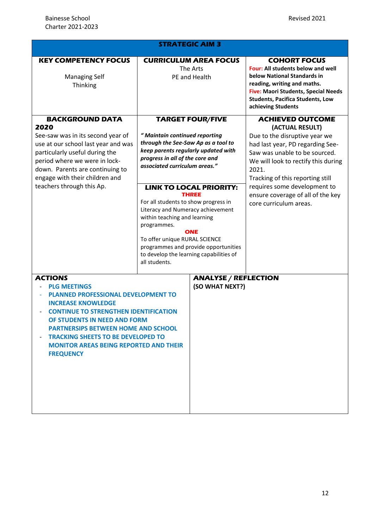| <b>STRATEGIC AIM 3</b>                                                                                                                                                                                                                                                                                                                                           |                                                                                                                                                                                                                                                                                                                                                                                                                                                                                                                                              |                                                           |                                                                                                                                                                                                                                                                                                                                     |  |
|------------------------------------------------------------------------------------------------------------------------------------------------------------------------------------------------------------------------------------------------------------------------------------------------------------------------------------------------------------------|----------------------------------------------------------------------------------------------------------------------------------------------------------------------------------------------------------------------------------------------------------------------------------------------------------------------------------------------------------------------------------------------------------------------------------------------------------------------------------------------------------------------------------------------|-----------------------------------------------------------|-------------------------------------------------------------------------------------------------------------------------------------------------------------------------------------------------------------------------------------------------------------------------------------------------------------------------------------|--|
| <b>KEY COMPETENCY FOCUS</b><br><b>Managing Self</b><br>Thinking                                                                                                                                                                                                                                                                                                  |                                                                                                                                                                                                                                                                                                                                                                                                                                                                                                                                              | <b>CURRICULUM AREA FOCUS</b><br>The Arts<br>PE and Health | <b>COHORT FOCUS</b><br>Four: All students below and well<br>below National Standards in<br>reading, writing and maths.<br>Five: Maori Students, Special Needs<br><b>Students, Pacifica Students, Low</b><br>achieving Students                                                                                                      |  |
| <b>BACKGROUND DATA</b><br>2020<br>See-saw was in its second year of<br>use at our school last year and was<br>particularly useful during the<br>period where we were in lock-<br>down. Parents are continuing to<br>engage with their children and<br>teachers through this Ap.                                                                                  | <b>TARGET FOUR/FIVE</b><br>" Maintain continued reporting<br>through the See-Saw Ap as a tool to<br>keep parents regularly updated with<br>progress in all of the core and<br>associated curriculum areas."<br><b>LINK TO LOCAL PRIORITY:</b><br><b>THREE</b><br>For all students to show progress in<br>Literacy and Numeracy achievement<br>within teaching and learning<br>programmes.<br><b>ONE</b><br>To offer unique RURAL SCIENCE<br>programmes and provide opportunities<br>to develop the learning capabilities of<br>all students. |                                                           | <b>ACHIEVED OUTCOME</b><br>(ACTUAL RESULT)<br>Due to the disruptive year we<br>had last year, PD regarding See-<br>Saw was unable to be sourced.<br>We will look to rectify this during<br>2021.<br>Tracking of this reporting still<br>requires some development to<br>ensure coverage of all of the key<br>core curriculum areas. |  |
| <b>ACTIONS</b><br><b>PLG MEETINGS</b><br><b>PLANNED PROFESSIONAL DEVELOPMENT TO</b><br><b>INCREASE KNOWLEDGE</b><br><b>CONTINUE TO STRENGTHEN IDENTIFICATION</b><br>OF STUDENTS IN NEED AND FORM<br><b>PARTNERSIPS BETWEEN HOME AND SCHOOL</b><br><b>TRACKING SHEETS TO BE DEVELOPED TO</b><br><b>MONITOR AREAS BEING REPORTED AND THEIR</b><br><b>FREQUENCY</b> |                                                                                                                                                                                                                                                                                                                                                                                                                                                                                                                                              | <b>ANALYSE / REFLECTION</b><br>(SO WHAT NEXT?)            |                                                                                                                                                                                                                                                                                                                                     |  |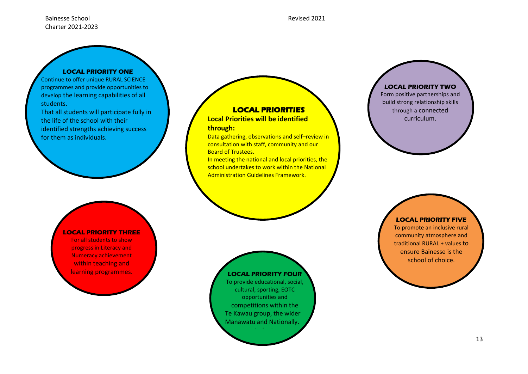#### Bainesse School Revised 2021 Charter 2021-2023

#### **LOCAL PRIORITY ONE**

Continue to offer unique RURAL SCIENCE programmes and provide opportunities to develop the learning capabilities of all students.

That all students will participate fully in the life of the school with their identified strengths achieving success for them as individuals.

#### **LOCAL PRIORITY THREE**

For all students to show progress in Literacy and Numeracy achievement within teaching and learning programmes.

#### **LOCAL PRIORITIES**

**Local Priorities will be identified through:**

Data gathering, observations and self–review in consultation with staff, community and our Board of Trustees.

In meeting the national and local priorities, the school undertakes to work within the National Administration Guidelines Framework.



To provide educational, social, cultural, sporting, EOTC opportunities and competitions within the Te Kawau group, the wider Manawatu and Nationally. students:

**LOCAL PRIORITY TWO**

Form positive partnerships and build strong relationship skills through a connected curriculum.

#### **LOCAL PRIORITY FIVE**

To promote an inclusive rural community atmosphere and traditional RURAL + values to ensure Bainesse is the school of choice.

students: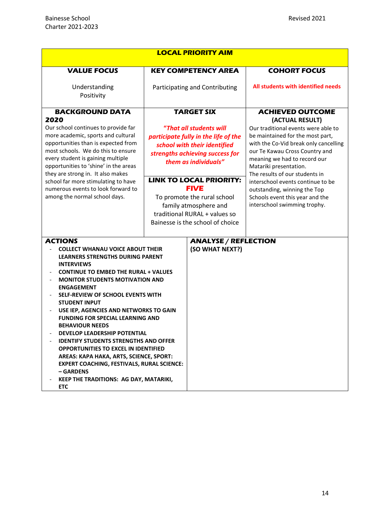|                                                                                                                                                                                                                                                                                                                                                                                                                                                                                                                                                                                                                                                                                                              | <b>LOCAL PRIORITY AIM</b>                                                                                                                                                                                                                                                                                                                |                             |                                                                                                                                                                                                                                                                                                                                                                                                           |
|--------------------------------------------------------------------------------------------------------------------------------------------------------------------------------------------------------------------------------------------------------------------------------------------------------------------------------------------------------------------------------------------------------------------------------------------------------------------------------------------------------------------------------------------------------------------------------------------------------------------------------------------------------------------------------------------------------------|------------------------------------------------------------------------------------------------------------------------------------------------------------------------------------------------------------------------------------------------------------------------------------------------------------------------------------------|-----------------------------|-----------------------------------------------------------------------------------------------------------------------------------------------------------------------------------------------------------------------------------------------------------------------------------------------------------------------------------------------------------------------------------------------------------|
| <b>VALUE FOCUS</b>                                                                                                                                                                                                                                                                                                                                                                                                                                                                                                                                                                                                                                                                                           | <b>KEY COMPETENCY AREA</b>                                                                                                                                                                                                                                                                                                               |                             | <b>COHORT FOCUS</b>                                                                                                                                                                                                                                                                                                                                                                                       |
| Understanding<br>Positivity                                                                                                                                                                                                                                                                                                                                                                                                                                                                                                                                                                                                                                                                                  | Participating and Contributing                                                                                                                                                                                                                                                                                                           |                             | All students with identified needs                                                                                                                                                                                                                                                                                                                                                                        |
| <b>BACKGROUND DATA</b>                                                                                                                                                                                                                                                                                                                                                                                                                                                                                                                                                                                                                                                                                       | <b>TARGET SIX</b>                                                                                                                                                                                                                                                                                                                        |                             | <b>ACHIEVED OUTCOME</b>                                                                                                                                                                                                                                                                                                                                                                                   |
| 2020<br>Our school continues to provide far<br>more academic, sports and cultural<br>opportunities than is expected from<br>most schools. We do this to ensure<br>every student is gaining multiple<br>opportunities to 'shine' in the areas<br>they are strong in. It also makes<br>school far more stimulating to have<br>numerous events to look forward to<br>among the normal school days.                                                                                                                                                                                                                                                                                                              | "That all students will<br>participate fully in the life of the<br>school with their identified<br>strengths achieving success for<br>them as individuals"<br><b>LINK TO LOCAL PRIORITY:</b><br><b>FIVE</b><br>To promote the rural school<br>family atmosphere and<br>traditional RURAL + values so<br>Bainesse is the school of choice |                             | (ACTUAL RESULT)<br>Our traditional events were able to<br>be maintained for the most part,<br>with the Co-Vid break only cancelling<br>our Te Kawau Cross Country and<br>meaning we had to record our<br>Matariki presentation.<br>The results of our students in<br>interschool events continue to be<br>outstanding, winning the Top<br>Schools event this year and the<br>interschool swimming trophy. |
| <b>ACTIONS</b>                                                                                                                                                                                                                                                                                                                                                                                                                                                                                                                                                                                                                                                                                               |                                                                                                                                                                                                                                                                                                                                          | <b>ANALYSE / REFLECTION</b> |                                                                                                                                                                                                                                                                                                                                                                                                           |
| <b>COLLECT WHANAU VOICE ABOUT THEIR</b><br><b>LEARNERS STRENGTHS DURING PARENT</b><br><b>INTERVIEWS</b><br><b>CONTINUE TO EMBED THE RURAL + VALUES</b><br><b>MONITOR STUDENTS MOTIVATION AND</b><br><b>ENGAGEMENT</b><br>SELF-REVIEW OF SCHOOL EVENTS WITH<br><b>STUDENT INPUT</b><br>USE IEP, AGENCIES AND NETWORKS TO GAIN<br><b>FUNDING FOR SPECIAL LEARNING AND</b><br><b>BEHAVIOUR NEEDS</b><br><b>DEVELOP LEADERSHIP POTENTIAL</b><br><b>IDENTIFY STUDENTS STRENGTHS AND OFFER</b><br><b>OPPORTUNITIES TO EXCEL IN IDENTIFIED</b><br>AREAS: KAPA HAKA, ARTS, SCIENCE, SPORT:<br><b>EXPERT COACHING, FESTIVALS, RURAL SCIENCE:</b><br>- GARDENS<br>KEEP THE TRADITIONS: AG DAY, MATARIKI,<br><b>ETC</b> |                                                                                                                                                                                                                                                                                                                                          | (SO WHAT NEXT?)             |                                                                                                                                                                                                                                                                                                                                                                                                           |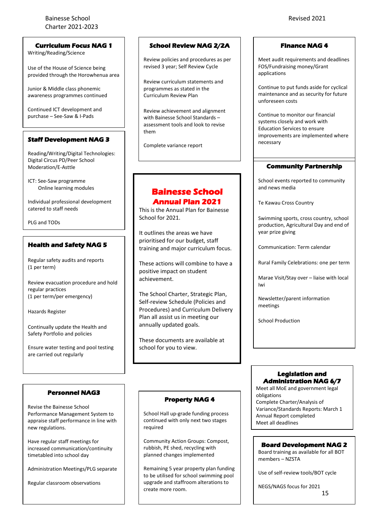#### Bainesse School Revised 2021 Charter 2021-2023

**Curriculum Focus NAG 1**

Writing/Reading/Science

Use of the House of Science being provided through the Horowhenua area

Junior & Middle class phonemic awareness programmes continued

Continued ICT development and purchase – See-Saw & I-Pads

#### **Staff Development NAG 3**

Reading/Writing/Digital Technologies: Digital Circus PD/Peer School Moderation/E-Asttle

ICT: See-Saw programme Online learning modules

Individual professional development catered to staff needs

PLG and TODs

#### **Health and Safety NAG 5**

Regular safety audits and reports (1 per term)

Review evacuation procedure and hold regular practices (1 per term/per emergency)

Hazards Register

Continually update the Health and Safety Portfolio and policies

Ensure water testing and pool testing are carried out regularly

#### **Personnel NAG3**

Revise the Bainesse School Performance Management System to appraise staff performance in line with new regulations.

Have regular staff meetings for increased communication/continuity timetabled into school day

Administration Meetings/PLG separate

Regular classroom observations

#### **School Review NAG 2/2A**

Review policies and procedures as per revised 3 year; Self Review Cycle

Review curriculum statements and programmes as stated in the Curriculum Review Plan

Review achievement and alignment with Bainesse School Standards – assessment tools and look to revise them

Complete variance report

#### **Bainesse School Annual Plan 2021**

This is the Annual Plan for Bainesse School for 2021.

It outlines the areas we have prioritised for our budget, staff training and major curriculum focus.

These actions will combine to have a positive impact on student achievement.

The School Charter, Strategic Plan, Self-review Schedule (Policies and Procedures) and Curriculum Delivery Plan all assist us in meeting our annually updated goals.

These documents are available at school for you to view.

#### **Finance NAG 4**

Meet audit requirements and deadlines FOS/Fundraising money/Grant applications

Continue to put funds aside for cyclical maintenance and as security for future unforeseen costs

Continue to monitor our financial systems closely and work with Education Services to ensure improvements are implemented where necessary

#### **Community Partnership**

School events reported to community and news media

Te Kawau Cross Country

Swimming sports, cross country, school production, Agricultural Day and end of year prize giving

Communication: Term calendar

Rural Family Celebrations: one per term

Marae Visit/Stay over – liaise with local Iwi

Newsletter/parent information meetings

School Production

#### **Legislation and Administration NAG 6/7**

Meet all MoE and government legal obligations Complete Charter/Analysis of Variance/Standards Reports: March 1 Annual Report completed Meet all deadlines

#### **Board Development NAG 2**

Board training as available for all BOT members – NZSTA

Use of self-review tools/BOT cycle

15 NEGS/NAGS focus for 2021

# **Property NAG 4**

School Hall up-grade funding process continued with only next two stages required

Community Action Groups: Compost, rubbish, PE shed, recycling with planned changes implemented

Remaining 5 year property plan funding to be utilised for school swimming pool upgrade and staffroom alterations to create more room.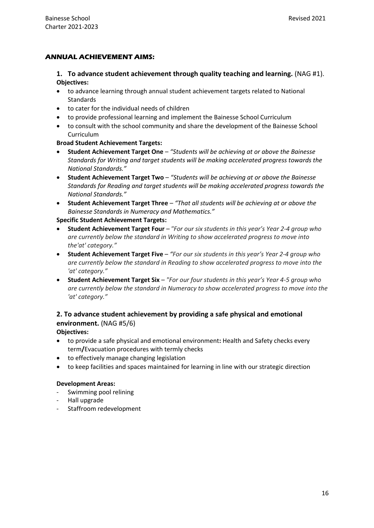#### **ANNUAL ACHIEVEMENT AIMS:**

**1. To advance student achievement through quality teaching and learning.** (NAG #1). **Objectives:**

- to advance learning through annual student achievement targets related to National **Standards**
- to cater for the individual needs of children
- to provide professional learning and implement the Bainesse School Curriculum
- to consult with the school community and share the development of the Bainesse School Curriculum

**Broad Student Achievement Targets:**

- **Student Achievement Target One** *"Students will be achieving at or above the Bainesse Standards for Writing and target students will be making accelerated progress towards the National Standards."*
- **Student Achievement Target Two** *"Students will be achieving at or above the Bainesse Standards for Reading and target students will be making accelerated progress towards the National Standards."*
- **Student Achievement Target Three** *"That all students will be achieving at or above the Bainesse Standards in Numeracy and Mathematics."*

**Specific Student Achievement Targets:**

- **Student Achievement Target Four** *"For our six students in this year's Year 2-4 group who are currently below the standard in Writing to show accelerated progress to move into the'at' category."*
- **Student Achievement Target Five**  *"For our six students in this year's Year 2-4 group who are currently below the standard in Reading to show accelerated progress to move into the 'at' category."*
- **Student Achievement Target Six**  *"For our four students in this year's Year 4-5 group who are currently below the standard in Numeracy to show accelerated progress to move into the 'at' category."*

### **2. To advance student achievement by providing a safe physical and emotional environment.** (NAG #5/6)

#### **Objectives:**

- to provide a safe physical and emotional environment**:** Health and Safety checks every term**/**Evacuation procedures with termly checks
- to effectively manage changing legislation
- to keep facilities and spaces maintained for learning in line with our strategic direction

#### **Development Areas:**

- Swimming pool relining
- Hall upgrade
- Staffroom redevelopment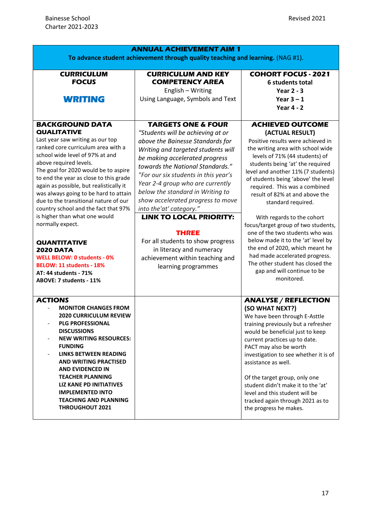| <b>ANNUAL ACHIEVEMENT AIM 1</b><br>To advance student achievement through quality teaching and learning. (NAG #1).                                                                                                                                                                                                                                                                                                                                                                                                                                                                                                                                                      |                                                                                                                                                                                                                                                                                                                                                                                                                                                                                                                                                                                 |                                                                                                                                                                                                                                                                                                                                                                                                                                                                                                                                                                                                                                                                      |  |  |  |
|-------------------------------------------------------------------------------------------------------------------------------------------------------------------------------------------------------------------------------------------------------------------------------------------------------------------------------------------------------------------------------------------------------------------------------------------------------------------------------------------------------------------------------------------------------------------------------------------------------------------------------------------------------------------------|---------------------------------------------------------------------------------------------------------------------------------------------------------------------------------------------------------------------------------------------------------------------------------------------------------------------------------------------------------------------------------------------------------------------------------------------------------------------------------------------------------------------------------------------------------------------------------|----------------------------------------------------------------------------------------------------------------------------------------------------------------------------------------------------------------------------------------------------------------------------------------------------------------------------------------------------------------------------------------------------------------------------------------------------------------------------------------------------------------------------------------------------------------------------------------------------------------------------------------------------------------------|--|--|--|
|                                                                                                                                                                                                                                                                                                                                                                                                                                                                                                                                                                                                                                                                         |                                                                                                                                                                                                                                                                                                                                                                                                                                                                                                                                                                                 |                                                                                                                                                                                                                                                                                                                                                                                                                                                                                                                                                                                                                                                                      |  |  |  |
| <b>CURRICULUM</b><br><b>FOCUS</b><br><b>WRITING</b>                                                                                                                                                                                                                                                                                                                                                                                                                                                                                                                                                                                                                     | <b>CURRICULUM AND KEY</b><br><b>COMPETENCY AREA</b><br>English - Writing<br>Using Language, Symbols and Text                                                                                                                                                                                                                                                                                                                                                                                                                                                                    | <b>COHORT FOCUS - 2021</b><br>6 students total<br>Year $2 - 3$<br>Year $3 - 1$<br>Year $4 - 2$                                                                                                                                                                                                                                                                                                                                                                                                                                                                                                                                                                       |  |  |  |
|                                                                                                                                                                                                                                                                                                                                                                                                                                                                                                                                                                                                                                                                         |                                                                                                                                                                                                                                                                                                                                                                                                                                                                                                                                                                                 |                                                                                                                                                                                                                                                                                                                                                                                                                                                                                                                                                                                                                                                                      |  |  |  |
| <b>BACKGROUND DATA</b><br><b>QUALITATIVE</b><br>Last year saw writing as our top<br>ranked core curriculum area with a<br>school wide level of 97% at and<br>above required levels.<br>The goal for 2020 would be to aspire<br>to end the year as close to this grade<br>again as possible, but realistically it<br>was always going to be hard to attain<br>due to the transitional nature of our<br>country school and the fact that 97%<br>is higher than what one would<br>normally expect.<br><b>QUANTITATIVE</b><br><b>2020 DATA</b><br><b>WELL BELOW: 0 students - 0%</b><br>BELOW: 11 students - 18%<br><b>AT: 44 students - 71%</b><br>ABOVE: 7 students - 11% | <b>TARGETS ONE &amp; FOUR</b><br>"Students will be achieving at or<br>above the Bainesse Standards for<br>Writing and targeted students will<br>be making accelerated progress<br>towards the National Standards."<br>"For our six students in this year's<br>Year 2-4 group who are currently<br>below the standard in Writing to<br>show accelerated progress to move<br>into the'at' category."<br><b>LINK TO LOCAL PRIORITY:</b><br><b>THREE</b><br>For all students to show progress<br>in literacy and numeracy<br>achievement within teaching and<br>learning programmes | <b>ACHIEVED OUTCOME</b><br>(ACTUAL RESULT)<br>Positive results were achieved in<br>the writing area with school wide<br>levels of 71% (44 students) of<br>students being 'at' the required<br>level and another 11% (7 students)<br>of students being 'above' the level<br>required. This was a combined<br>result of 82% at and above the<br>standard required.<br>With regards to the cohort<br>focus/target group of two students,<br>one of the two students who was<br>below made it to the 'at' level by<br>the end of 2020, which meant he<br>had made accelerated progress.<br>The other student has closed the<br>gap and will continue to be<br>monitored. |  |  |  |
| <b>ACTIONS</b><br><b>MONITOR CHANGES FROM</b><br><b>2020 CURRICULUM REVIEW</b><br><b>PLG PROFESSIONAL</b><br><b>DISCUSSIONS</b><br><b>NEW WRITING RESOURCES:</b><br><b>FUNDING</b><br>LINKS BETWEEN READING<br>AND WRITING PRACTISED<br><b>AND EVIDENCED IN</b><br><b>TEACHER PLANNING</b><br><b>LIZ KANE PD INITIATIVES</b><br><b>IMPLEMENTED INTO</b><br><b>TEACHING AND PLANNING</b><br><b>THROUGHOUT 2021</b>                                                                                                                                                                                                                                                       |                                                                                                                                                                                                                                                                                                                                                                                                                                                                                                                                                                                 | <b>ANALYSE / REFLECTION</b><br>(SO WHAT NEXT?)<br>We have been through E-Asttle<br>training previously but a refresher<br>would be beneficial just to keep<br>current practices up to date.<br>PACT may also be worth<br>investigation to see whether it is of<br>assistance as well.<br>Of the target group, only one<br>student didn't make it to the 'at'<br>level and this student will be<br>tracked again through 2021 as to<br>the progress he makes.                                                                                                                                                                                                         |  |  |  |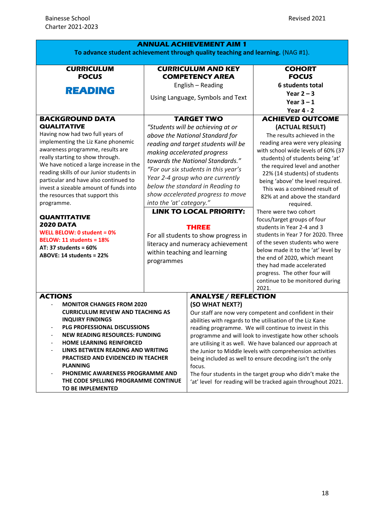|                                                                                                                                                                                                                                                                                                                                                                                                                                      |                                                                                                                                                                                                                                                                                                                                                                                                                                                                                    | <b>ANNUAL ACHIEVEMENT AIM 1</b>                                                                                                                                                                                                                                                                                                                                                                                                                                                                                                                                                                                            |                                                                                                                                                                                                                                                                                                                                                                                                          |
|--------------------------------------------------------------------------------------------------------------------------------------------------------------------------------------------------------------------------------------------------------------------------------------------------------------------------------------------------------------------------------------------------------------------------------------|------------------------------------------------------------------------------------------------------------------------------------------------------------------------------------------------------------------------------------------------------------------------------------------------------------------------------------------------------------------------------------------------------------------------------------------------------------------------------------|----------------------------------------------------------------------------------------------------------------------------------------------------------------------------------------------------------------------------------------------------------------------------------------------------------------------------------------------------------------------------------------------------------------------------------------------------------------------------------------------------------------------------------------------------------------------------------------------------------------------------|----------------------------------------------------------------------------------------------------------------------------------------------------------------------------------------------------------------------------------------------------------------------------------------------------------------------------------------------------------------------------------------------------------|
| <b>CURRICULUM</b><br><b>FOCUS</b><br><b>READING</b><br><b>BACKGROUND DATA</b><br><b>QUALITATIVE</b><br>Having now had two full years of<br>implementing the Liz Kane phonemic<br>awareness programme, results are<br>really starting to show through.<br>We have noticed a large increase in the<br>reading skills of our Junior students in<br>particular and have also continued to<br>invest a sizeable amount of funds into      | To advance student achievement through quality teaching and learning. (NAG #1).<br><b>CURRICULUM AND KEY</b><br><b>COMPETENCY AREA</b><br>English - Reading<br>Using Language, Symbols and Text<br><b>TARGET TWO</b><br>"Students will be achieving at or<br>above the National Standard for<br>reading and target students will be<br>making accelerated progress<br>towards the National Standards."<br>"For our six students in this year's<br>Year 2-4 group who are currently |                                                                                                                                                                                                                                                                                                                                                                                                                                                                                                                                                                                                                            | <b>COHORT</b><br><b>FOCUS</b><br>6 students total<br>Year $2 - 3$<br>Year $3 - 1$<br><b>Year 4 - 2</b><br><b>ACHIEVED OUTCOME</b><br>(ACTUAL RESULT)<br>The results achieved in the<br>reading area were very pleasing<br>with school wide levels of 60% (37<br>students) of students being 'at'<br>the required level and another<br>22% (14 students) of students<br>being 'above' the level required. |
| the resources that support this<br>programme.<br><b>QUANTITATIVE</b><br><b>2020 DATA</b>                                                                                                                                                                                                                                                                                                                                             | into the 'at' category."                                                                                                                                                                                                                                                                                                                                                                                                                                                           | below the standard in Reading to<br>show accelerated progress to move<br><b>LINK TO LOCAL PRIORITY:</b>                                                                                                                                                                                                                                                                                                                                                                                                                                                                                                                    | This was a combined result of<br>82% at and above the standard<br>required.<br>There were two cohort<br>focus/target groups of four                                                                                                                                                                                                                                                                      |
| WELL BELOW: 0 student = 0%<br><b>BELOW: 11 students = 18%</b><br>AT: 37 students = $60\%$<br>ABOVE: 14 students = 22%                                                                                                                                                                                                                                                                                                                | <b>THREE</b><br>For all students to show progress in<br>literacy and numeracy achievement<br>within teaching and learning<br>programmes                                                                                                                                                                                                                                                                                                                                            |                                                                                                                                                                                                                                                                                                                                                                                                                                                                                                                                                                                                                            | students in Year 2-4 and 3<br>students in Year 7 for 2020. Three<br>of the seven students who were<br>below made it to the 'at' level by<br>the end of 2020, which meant<br>they had made accelerated<br>progress. The other four will<br>continue to be monitored during<br>2021.                                                                                                                       |
| <b>ACTIONS</b><br><b>MONITOR CHANGES FROM 2020</b><br><b>CURRICULUM REVIEW AND TEACHING AS</b><br><b>INQUIRY FINDINGS</b><br>PLG PROFESSIONAL DISCUSSIONS<br><b>NEW READING RESOURCES: FUNDING</b><br>HOME LEARNING REINFORCED<br>LINKS BETWEEN READING AND WRITING<br><b>PRACTISED AND EVIDENCED IN TEACHER</b><br><b>PLANNING</b><br>PHONEMIC AWARENESS PROGRAMME AND<br>THE CODE SPELLING PROGRAMME CONTINUE<br>TO BE IMPLEMENTED |                                                                                                                                                                                                                                                                                                                                                                                                                                                                                    | <b>ANALYSE / REFLECTION</b><br>(SO WHAT NEXT?)<br>Our staff are now very competent and confident in their<br>abilities with regards to the utilisation of the Liz Kane<br>reading programme. We will continue to invest in this<br>programme and will look to investigate how other schools<br>are utilising it as well. We have balanced our approach at<br>the Junior to Middle levels with comprehension activities<br>being included as well to ensure decoding isn't the only<br>focus.<br>The four students in the target group who didn't make the<br>'at' level for reading will be tracked again throughout 2021. |                                                                                                                                                                                                                                                                                                                                                                                                          |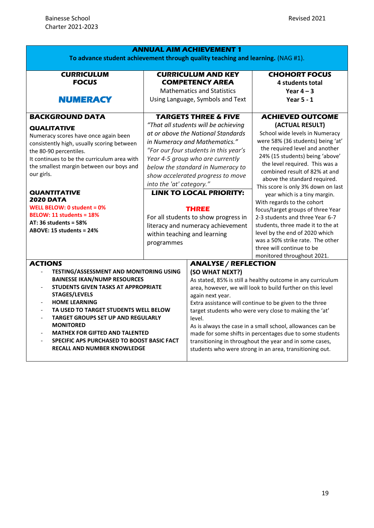| <b>ANNUAL AIM ACHIEVEMENT 1</b><br>To advance student achievement through quality teaching and learning. (NAG #1).                                                                                                                                                                                                                                                                                                                    |                                                                                                                                                                                                                                                                                                                                                                                                                                                                                                                |                                                                                                                                                                                                                                                                                                                                                                                                                                                                                                                                                                                |                                                                                                                                                                                                                                                                                                                                                                                                                                                                                                                                                                                                                                             |  |
|---------------------------------------------------------------------------------------------------------------------------------------------------------------------------------------------------------------------------------------------------------------------------------------------------------------------------------------------------------------------------------------------------------------------------------------|----------------------------------------------------------------------------------------------------------------------------------------------------------------------------------------------------------------------------------------------------------------------------------------------------------------------------------------------------------------------------------------------------------------------------------------------------------------------------------------------------------------|--------------------------------------------------------------------------------------------------------------------------------------------------------------------------------------------------------------------------------------------------------------------------------------------------------------------------------------------------------------------------------------------------------------------------------------------------------------------------------------------------------------------------------------------------------------------------------|---------------------------------------------------------------------------------------------------------------------------------------------------------------------------------------------------------------------------------------------------------------------------------------------------------------------------------------------------------------------------------------------------------------------------------------------------------------------------------------------------------------------------------------------------------------------------------------------------------------------------------------------|--|
| <b>CURRICULUM</b><br><b>FOCUS</b><br><b>NUMERACY</b>                                                                                                                                                                                                                                                                                                                                                                                  | <b>CURRICULUM AND KEY</b><br><b>COMPETENCY AREA</b><br><b>Mathematics and Statistics</b><br>Using Language, Symbols and Text                                                                                                                                                                                                                                                                                                                                                                                   |                                                                                                                                                                                                                                                                                                                                                                                                                                                                                                                                                                                | <b>CHOHORT FOCUS</b><br>4 students total<br>Year $4 - 3$<br><b>Year 5 - 1</b>                                                                                                                                                                                                                                                                                                                                                                                                                                                                                                                                                               |  |
| <b>BACKGROUND DATA</b><br><b>QUALITATIVE</b><br>Numeracy scores have once again been<br>consistently high, usually scoring between<br>the 80-90 percentiles.<br>It continues to be the curriculum area with<br>the smallest margin between our boys and<br>our girls.<br><b>QUANTITATIVE</b><br><b>2020 DATA</b><br>WELL BELOW: 0 student = 0%<br>BELOW: 11 students = 18%<br>AT: 36 students = $58\%$<br>ABOVE: 15 students = 24%    | <b>TARGETS THREE &amp; FIVE</b><br>"That all students will be achieving<br>at or above the National Standards<br>in Numeracy and Mathematics."<br>"For our four students in this year's<br>Year 4-5 group who are currently<br>below the standard in Numeracy to<br>show accelerated progress to move<br>into the 'at' category."<br><b>LINK TO LOCAL PRIORITY:</b><br><b>THREE</b><br>For all students to show progress in<br>literacy and numeracy achievement<br>within teaching and learning<br>programmes |                                                                                                                                                                                                                                                                                                                                                                                                                                                                                                                                                                                | <b>ACHIEVED OUTCOME</b><br>(ACTUAL RESULT)<br>School wide levels in Numeracy<br>were 58% (36 students) being 'at'<br>the required level and another<br>24% (15 students) being 'above'<br>the level required. This was a<br>combined result of 82% at and<br>above the standard required.<br>This score is only 3% down on last<br>year which is a tiny margin.<br>With regards to the cohort<br>focus/target groups of three Year<br>2-3 students and three Year 6-7<br>students, three made it to the at<br>level by the end of 2020 which<br>was a 50% strike rate. The other<br>three will continue to be<br>monitored throughout 2021. |  |
| <b>ACTIONS</b><br><b>TESTING/ASSESSMENT AND MONITORING USING</b><br><b>BAINESSE IKAN/NUMP RESOURCES</b><br><b>STUDENTS GIVEN TASKS AT APPROPRIATE</b><br><b>STAGES/LEVELS</b><br><b>HOME LEARNING</b><br>TA USED TO TARGET STUDENTS WELL BELOW<br><b>TARGET GROUPS SET UP AND REGULARLY</b><br><b>MONITORED</b><br>MATHEX FOR GIFTED AND TALENTED<br>SPECIFIC APS PURCHASED TO BOOST BASIC FACT<br><b>RECALL AND NUMBER KNOWLEDGE</b> |                                                                                                                                                                                                                                                                                                                                                                                                                                                                                                                | <b>ANALYSE / REFLECTION</b><br>(SO WHAT NEXT?)<br>As stated, 85% is still a healthy outcome in any curriculum<br>area, however, we will look to build further on this level<br>again next year.<br>Extra assistance will continue to be given to the three<br>target students who were very close to making the 'at'<br>level.<br>As is always the case in a small school, allowances can be<br>made for some shifts in percentages due to some students<br>transitioning in throughout the year and in some cases,<br>students who were strong in an area, transitioning out. |                                                                                                                                                                                                                                                                                                                                                                                                                                                                                                                                                                                                                                             |  |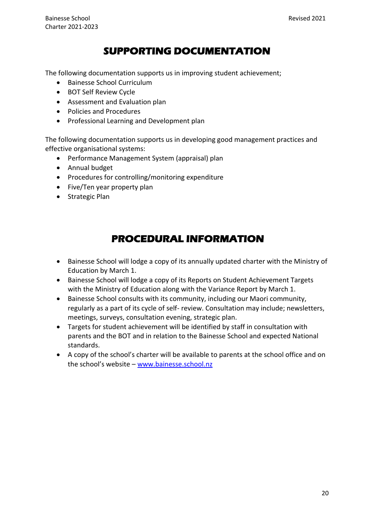## **SUPPORTING DOCUMENTATION**

The following documentation supports us in improving student achievement;

- Bainesse School Curriculum
- BOT Self Review Cycle
- Assessment and Evaluation plan
- Policies and Procedures
- Professional Learning and Development plan

The following documentation supports us in developing good management practices and effective organisational systems:

- Performance Management System (appraisal) plan
- Annual budget
- Procedures for controlling/monitoring expenditure
- Five/Ten year property plan
- Strategic Plan

# **PROCEDURAL INFORMATION**

- Bainesse School will lodge a copy of its annually updated charter with the Ministry of Education by March 1.
- Bainesse School will lodge a copy of its Reports on Student Achievement Targets with the Ministry of Education along with the Variance Report by March 1.
- Bainesse School consults with its community, including our Maori community, regularly as a part of its cycle of self- review. Consultation may include; newsletters, meetings, surveys, consultation evening, strategic plan.
- Targets for student achievement will be identified by staff in consultation with parents and the BOT and in relation to the Bainesse School and expected National standards.
- A copy of the school's charter will be available to parents at the school office and on the school's website – [www.bainesse.school.nz](http://www.bainesse.school.nz/)